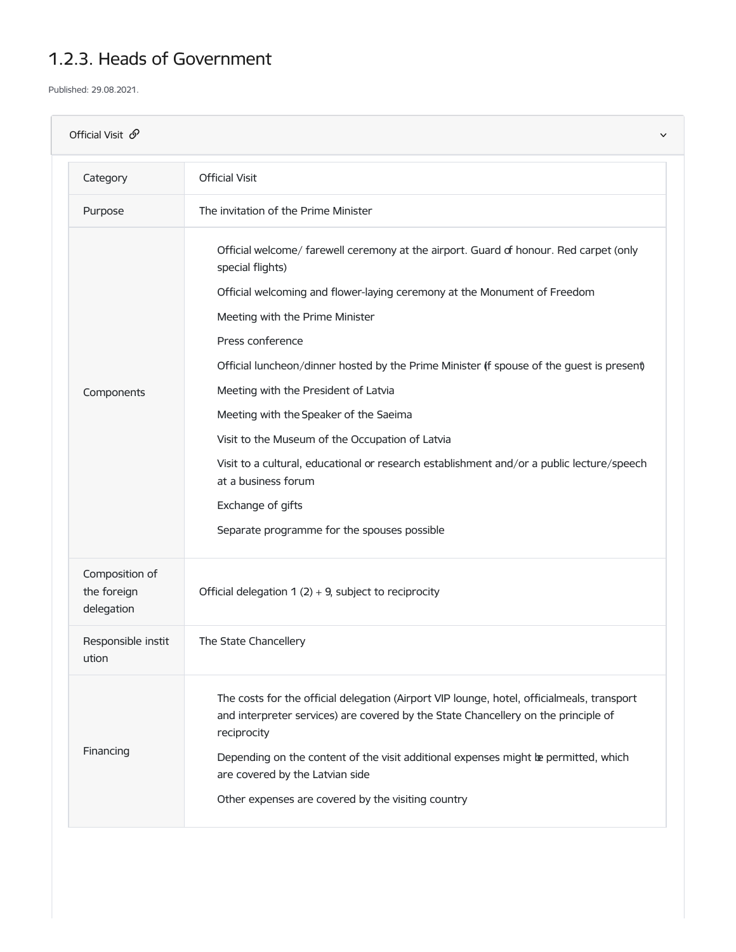## 1.2.3. Heads of Government

Published: 29.08.2021.

| Official Visit $\mathcal{O}$<br>$\checkmark$ |                                                                                                                                                                                                                                                                                                                                                                                                                                                                                                                                                                                                                                                                       |  |
|----------------------------------------------|-----------------------------------------------------------------------------------------------------------------------------------------------------------------------------------------------------------------------------------------------------------------------------------------------------------------------------------------------------------------------------------------------------------------------------------------------------------------------------------------------------------------------------------------------------------------------------------------------------------------------------------------------------------------------|--|
| Category                                     | <b>Official Visit</b>                                                                                                                                                                                                                                                                                                                                                                                                                                                                                                                                                                                                                                                 |  |
| Purpose                                      | The invitation of the Prime Minister                                                                                                                                                                                                                                                                                                                                                                                                                                                                                                                                                                                                                                  |  |
| Components                                   | Official welcome/ farewell ceremony at the airport. Guard of honour. Red carpet (only<br>special flights)<br>Official welcoming and flower-laying ceremony at the Monument of Freedom<br>Meeting with the Prime Minister<br>Press conference<br>Official luncheon/dinner hosted by the Prime Minister (f spouse of the quest is present)<br>Meeting with the President of Latvia<br>Meeting with the Speaker of the Saeima<br>Visit to the Museum of the Occupation of Latvia<br>Visit to a cultural, educational or research establishment and/or a public lecture/speech<br>at a business forum<br>Exchange of gifts<br>Separate programme for the spouses possible |  |
| Composition of<br>the foreign<br>delegation  | Official delegation $1(2) + 9$ , subject to reciprocity                                                                                                                                                                                                                                                                                                                                                                                                                                                                                                                                                                                                               |  |
| Responsible instit<br>ution                  | The State Chancellery                                                                                                                                                                                                                                                                                                                                                                                                                                                                                                                                                                                                                                                 |  |
| Financing                                    | The costs for the official delegation (Airport VIP lounge, hotel, officialmeals, transport<br>and interpreter services) are covered by the State Chancellery on the principle of<br>reciprocity<br>Depending on the content of the visit additional expenses might be permitted, which<br>are covered by the Latvian side<br>Other expenses are covered by the visiting country                                                                                                                                                                                                                                                                                       |  |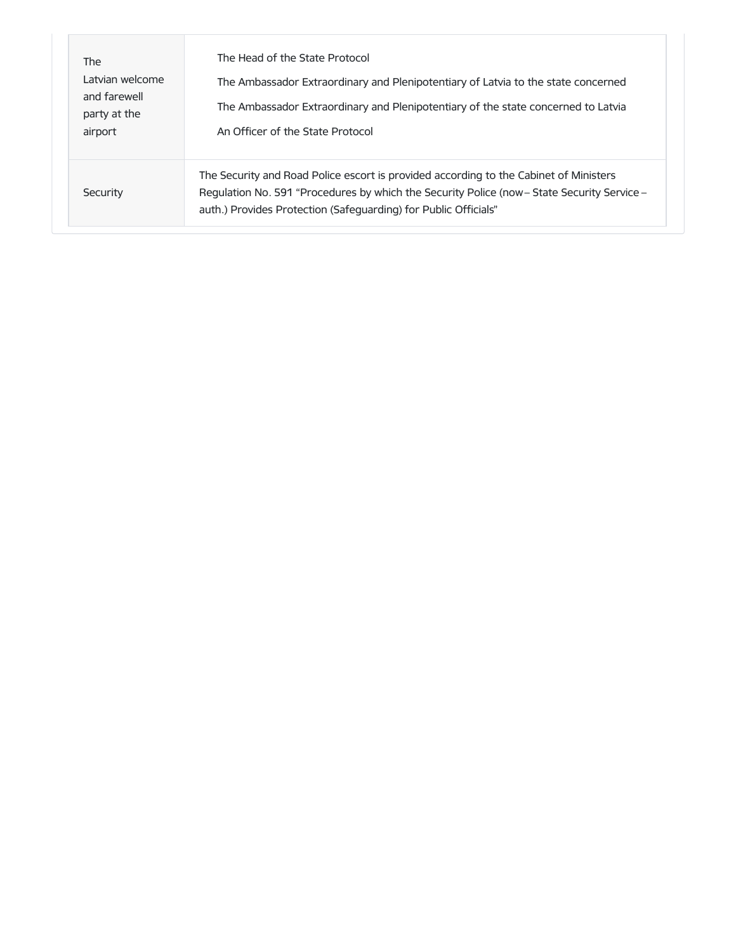| <b>The</b><br>Latvian welcome<br>and farewell<br>party at the<br>airport | The Head of the State Protocol<br>The Ambassador Extraordinary and Plenipotentiary of Latvia to the state concerned<br>The Ambassador Extraordinary and Plenipotentiary of the state concerned to Latvia<br>An Officer of the State Protocol            |
|--------------------------------------------------------------------------|---------------------------------------------------------------------------------------------------------------------------------------------------------------------------------------------------------------------------------------------------------|
| Security                                                                 | The Security and Road Police escort is provided according to the Cabinet of Ministers<br>Regulation No. 591 "Procedures by which the Security Police (now – State Security Service –<br>auth.) Provides Protection (Safeguarding) for Public Officials" |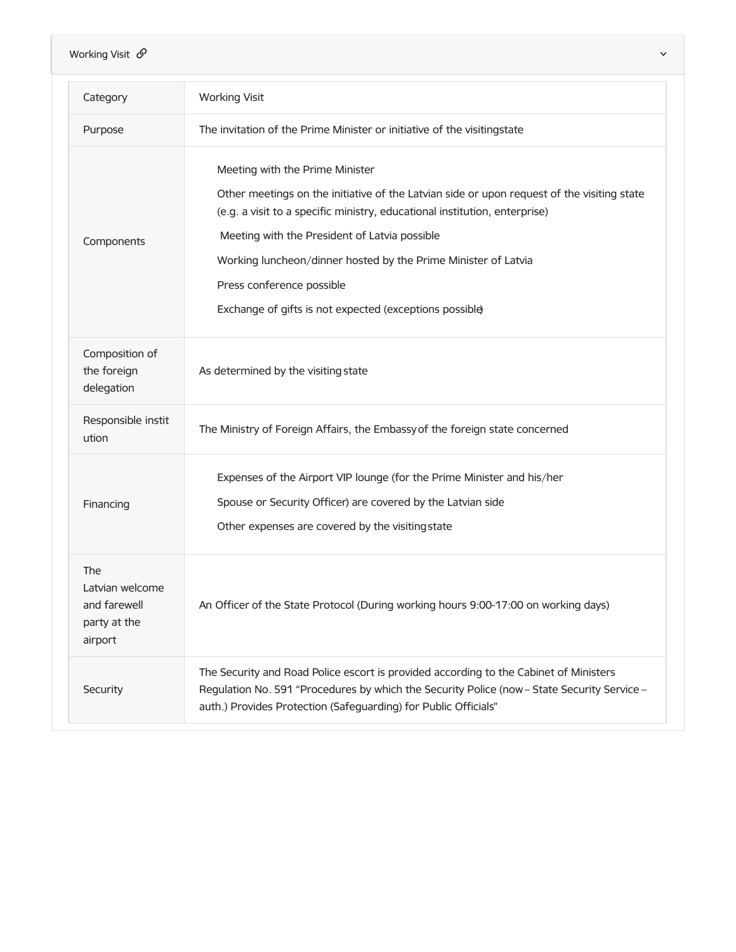| Category                                                          | <b>Working Visit</b>                                                                                                                                                                 |
|-------------------------------------------------------------------|--------------------------------------------------------------------------------------------------------------------------------------------------------------------------------------|
| Purpose                                                           | The invitation of the Prime Minister or initiative of the visitingstate                                                                                                              |
| Components                                                        | Meeting with the Prime Minister                                                                                                                                                      |
|                                                                   | Other meetings on the initiative of the Latvian side or upon request of the visiting state<br>(e.g. a visit to a specific ministry, educational institution, enterprise)             |
|                                                                   | Meeting with the President of Latvia possible                                                                                                                                        |
|                                                                   | Working luncheon/dinner hosted by the Prime Minister of Latvia                                                                                                                       |
|                                                                   | Press conference possible                                                                                                                                                            |
|                                                                   | Exchange of gifts is not expected (exceptions possible)                                                                                                                              |
| Composition of<br>the foreign<br>delegation                       | As determined by the visiting state                                                                                                                                                  |
| Responsible instit<br>ution                                       | The Ministry of Foreign Affairs, the Embassy of the foreign state concerned                                                                                                          |
| Financing                                                         | Expenses of the Airport VIP lounge (for the Prime Minister and his/her                                                                                                               |
|                                                                   | Spouse or Security Officer) are covered by the Latvian side                                                                                                                          |
|                                                                   | Other expenses are covered by the visiting state                                                                                                                                     |
| The<br>Latvian welcome<br>and farewell<br>party at the<br>airport | An Officer of the State Protocol (During working hours 9:00-17:00 on working days)                                                                                                   |
| Security                                                          | The Security and Road Police escort is provided according to the Cabinet of Ministers<br>Regulation No. 591 "Procedures by which the Security Police (now - State Security Service - |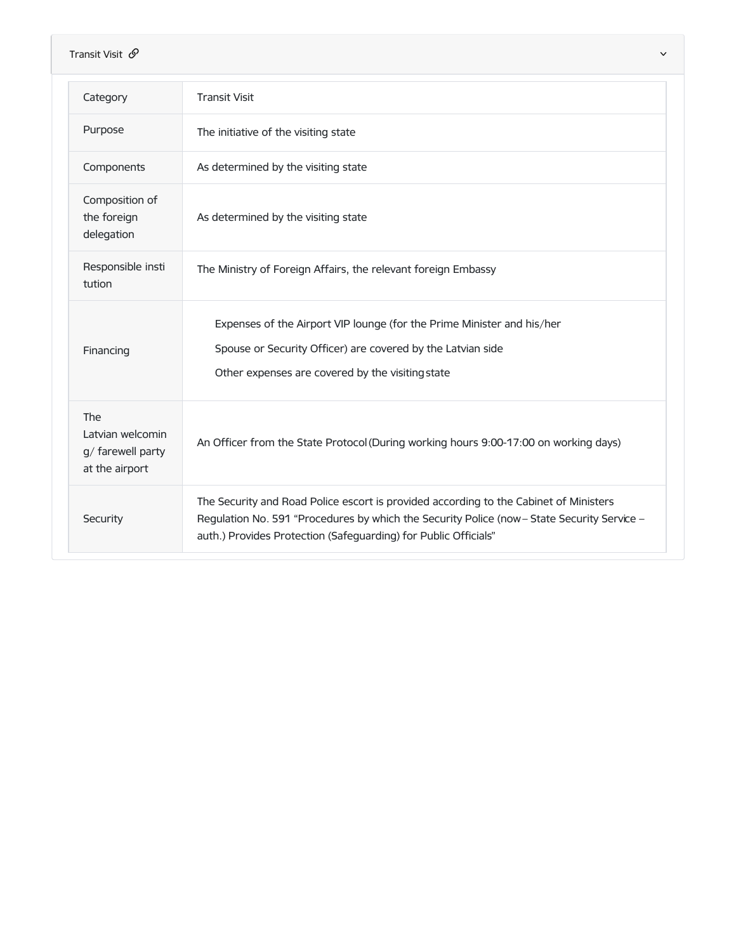| Transit Visit $\mathcal{O}$<br>$\checkmark$                    |                                                                                                                                                                                                                                                         |  |
|----------------------------------------------------------------|---------------------------------------------------------------------------------------------------------------------------------------------------------------------------------------------------------------------------------------------------------|--|
| Category                                                       | <b>Transit Visit</b>                                                                                                                                                                                                                                    |  |
| Purpose                                                        | The initiative of the visiting state                                                                                                                                                                                                                    |  |
| Components                                                     | As determined by the visiting state                                                                                                                                                                                                                     |  |
| Composition of<br>the foreign<br>delegation                    | As determined by the visiting state                                                                                                                                                                                                                     |  |
| Responsible insti<br>tution                                    | The Ministry of Foreign Affairs, the relevant foreign Embassy                                                                                                                                                                                           |  |
| Financing                                                      | Expenses of the Airport VIP lounge (for the Prime Minister and his/her<br>Spouse or Security Officer) are covered by the Latvian side<br>Other expenses are covered by the visiting state                                                               |  |
| The<br>Latvian welcomin<br>g/ farewell party<br>at the airport | An Officer from the State Protocol (During working hours 9:00-17:00 on working days)                                                                                                                                                                    |  |
| Security                                                       | The Security and Road Police escort is provided according to the Cabinet of Ministers<br>Regulation No. 591 "Procedures by which the Security Police (now - State Security Service -<br>auth.) Provides Protection (Safeguarding) for Public Officials" |  |